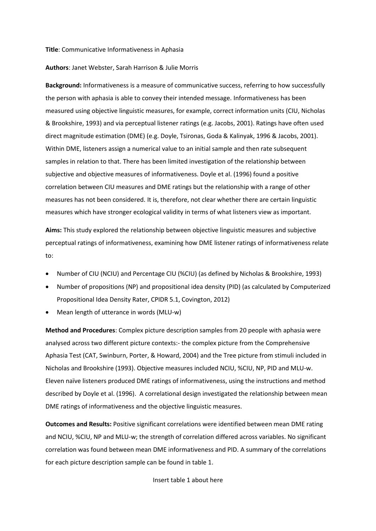## **Title**: Communicative Informativeness in Aphasia

## **Authors**: Janet Webster, Sarah Harrison & Julie Morris

**Background:** Informativeness is a measure of communicative success, referring to how successfully the person with aphasia is able to convey their intended message. Informativeness has been measured using objective linguistic measures, for example, correct information units (CIU, Nicholas & Brookshire, 1993) and via perceptual listener ratings (e.g. Jacobs, 2001). Ratings have often used direct magnitude estimation (DME) (e.g. Doyle, Tsironas, Goda & Kalinyak, 1996 & Jacobs, 2001). Within DME, listeners assign a numerical value to an initial sample and then rate subsequent samples in relation to that. There has been limited investigation of the relationship between subjective and objective measures of informativeness. Doyle et al. (1996) found a positive correlation between CIU measures and DME ratings but the relationship with a range of other measures has not been considered. It is, therefore, not clear whether there are certain linguistic measures which have stronger ecological validity in terms of what listeners view as important.

**Aims:** This study explored the relationship between objective linguistic measures and subjective perceptual ratings of informativeness, examining how DME listener ratings of informativeness relate to:

- Number of CIU (NCIU) and Percentage CIU (%CIU) (as defined by Nicholas & Brookshire, 1993)
- Number of propositions (NP) and propositional idea density (PID) (as calculated by Computerized Propositional Idea Density Rater, CPIDR 5.1, Covington, 2012)
- Mean length of utterance in words (MLU-w)

**Method and Procedures**: Complex picture description samples from 20 people with aphasia were analysed across two different picture contexts:- the complex picture from the Comprehensive Aphasia Test (CAT, Swinburn, Porter, & Howard, 2004) and the Tree picture from stimuli included in Nicholas and Brookshire (1993). Objective measures included NCIU, %CIU, NP, PID and MLU-w. Eleven naïve listeners produced DME ratings of informativeness, using the instructions and method described by Doyle et al. (1996). A correlational design investigated the relationship between mean DME ratings of informativeness and the objective linguistic measures.

**Outcomes and Results:** Positive significant correlations were identified between mean DME rating and NCIU, %CIU, NP and MLU-w; the strength of correlation differed across variables. No significant correlation was found between mean DME informativeness and PID. A summary of the correlations for each picture description sample can be found in table 1.

Insert table 1 about here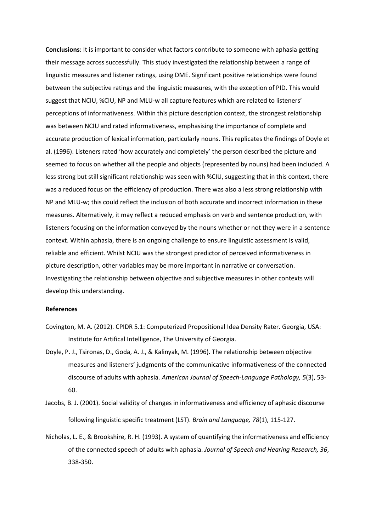**Conclusions**: It is important to consider what factors contribute to someone with aphasia getting their message across successfully. This study investigated the relationship between a range of linguistic measures and listener ratings, using DME. Significant positive relationships were found between the subjective ratings and the linguistic measures, with the exception of PID. This would suggest that NCIU, %CIU, NP and MLU-w all capture features which are related to listeners' perceptions of informativeness. Within this picture description context, the strongest relationship was between NCIU and rated informativeness, emphasising the importance of complete and accurate production of lexical information, particularly nouns. This replicates the findings of Doyle et al. (1996). Listeners rated 'how accurately and completely' the person described the picture and seemed to focus on whether all the people and objects (represented by nouns) had been included. A less strong but still significant relationship was seen with %CIU, suggesting that in this context, there was a reduced focus on the efficiency of production. There was also a less strong relationship with NP and MLU-w; this could reflect the inclusion of both accurate and incorrect information in these measures. Alternatively, it may reflect a reduced emphasis on verb and sentence production, with listeners focusing on the information conveyed by the nouns whether or not they were in a sentence context. Within aphasia, there is an ongoing challenge to ensure linguistic assessment is valid, reliable and efficient. Whilst NCIU was the strongest predictor of perceived informativeness in picture description, other variables may be more important in narrative or conversation. Investigating the relationship between objective and subjective measures in other contexts will develop this understanding.

## **References**

- Covington, M. A. (2012). CPIDR 5.1: Computerized Propositional Idea Density Rater. Georgia, USA: Institute for Artifical Intelligence, The University of Georgia.
- Doyle, P. J., Tsironas, D., Goda, A. J., & Kalinyak, M. (1996). The relationship between objective measures and listeners' judgments of the communicative informativeness of the connected discourse of adults with aphasia. *American Journal of Speech-Language Pathology, 5*(3), 53- 60.
- Jacobs, B. J. (2001). Social validity of changes in informativeness and efficiency of aphasic discourse following linguistic specific treatment (LST). *Brain and Language, 78*(1), 115-127.
- Nicholas, L. E., & Brookshire, R. H. (1993). A system of quantifying the informativeness and efficiency of the connected speech of adults with aphasia. *Journal of Speech and Hearing Research, 36*, 338-350.